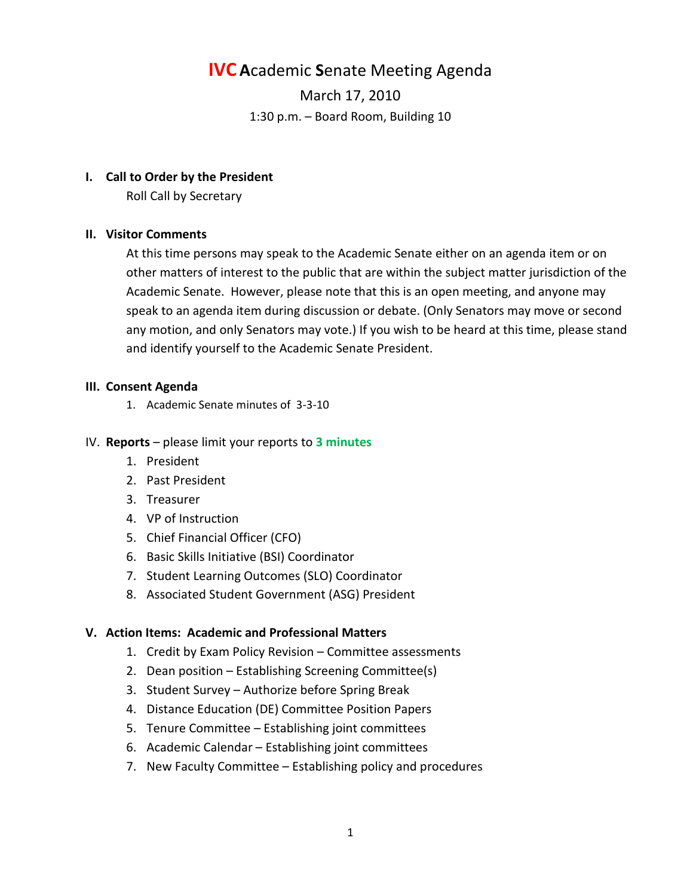### **IVC A**cademic **S**enate Meeting Agenda

March 17, 2010 1:30 p.m. – Board Room, Building 10

#### **I. Call to Order by the President**

Roll Call by Secretary

#### **II. Visitor Comments**

At this time persons may speak to the Academic Senate either on an agenda item or on other matters of interest to the public that are within the subject matter jurisdiction of the Academic Senate. However, please note that this is an open meeting, and anyone may speak to an agenda item during discussion or debate. (Only Senators may move or second any motion, and only Senators may vote.) If you wish to be heard at this time, please stand and identify yourself to the Academic Senate President.

#### **III. Consent Agenda**

1. Academic Senate minutes of 3-3-10

#### IV. **Reports** – please limit your reports to **3 minutes**

- 1. President
- 2. Past President
- 3. Treasurer
- 4. VP of Instruction
- 5. Chief Financial Officer (CFO)
- 6. Basic Skills Initiative (BSI) Coordinator
- 7. Student Learning Outcomes (SLO) Coordinator
- 8. Associated Student Government (ASG) President

#### **V. Action Items: Academic and Professional Matters**

- 1. Credit by Exam Policy Revision Committee assessments
- 2. Dean position Establishing Screening Committee(s)
- 3. Student Survey Authorize before Spring Break
- 4. Distance Education (DE) Committee Position Papers
- 5. Tenure Committee Establishing joint committees
- 6. Academic Calendar Establishing joint committees
- 7. New Faculty Committee Establishing policy and procedures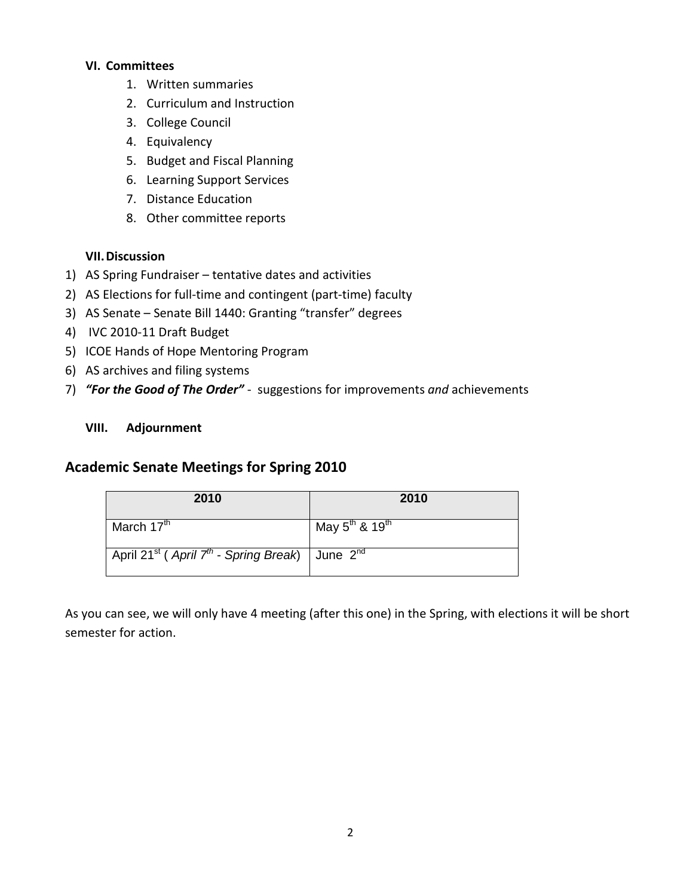#### **VI. Committees**

- 1. Written summaries
- 2. Curriculum and Instruction
- 3. College Council
- 4. Equivalency
- 5. Budget and Fiscal Planning
- 6. Learning Support Services
- 7. Distance Education
- 8. Other committee reports

#### **VII.Discussion**

- 1) AS Spring Fundraiser tentative dates and activities
- 2) AS Elections for full-time and contingent (part-time) faculty
- 3) AS Senate Senate Bill 1440: Granting "transfer" degrees
- 4) IVC 2010-11 Draft Budget
- 5) ICOE Hands of Hope Mentoring Program
- 6) AS archives and filing systems
- 7) *"For the Good of The Order"*  suggestions for improvements *and* achievements

#### **VIII. Adjournment**

#### **Academic Senate Meetings for Spring 2010**

| 2010                                                                                 | 2010                            |
|--------------------------------------------------------------------------------------|---------------------------------|
| March 17 <sup>th</sup>                                                               | May $5^{th}$ & 19 <sup>th</sup> |
| April 21 <sup>st</sup> (April 7 <sup>th</sup> - Spring Break)   June 2 <sup>nd</sup> |                                 |

As you can see, we will only have 4 meeting (after this one) in the Spring, with elections it will be short semester for action.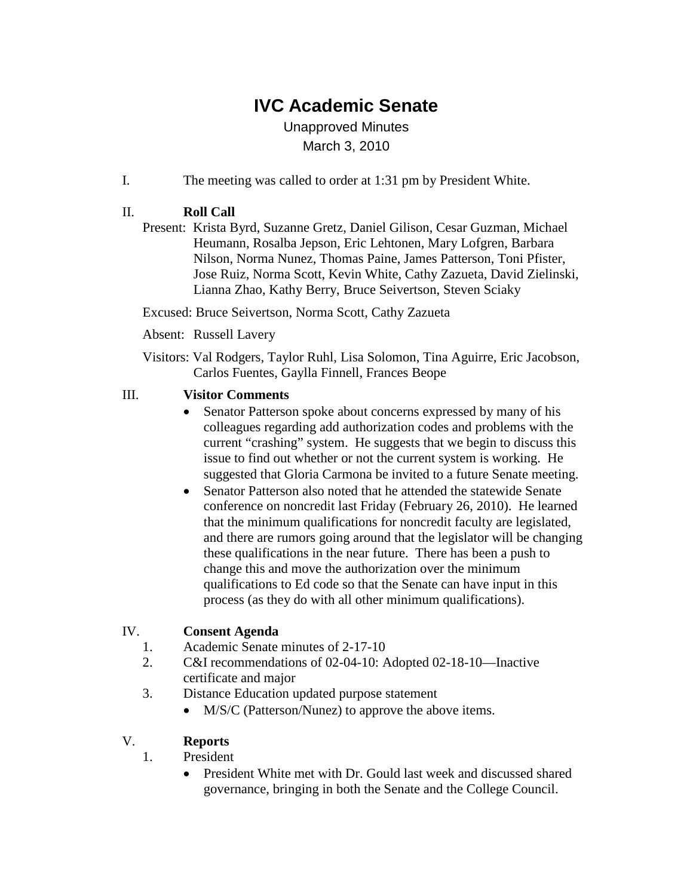## **IVC Academic Senate**

Unapproved Minutes March 3, 2010

I. The meeting was called to order at 1:31 pm by President White.

#### II. **Roll Call**

Present: Krista Byrd, Suzanne Gretz, Daniel Gilison, Cesar Guzman, Michael Heumann, Rosalba Jepson, Eric Lehtonen, Mary Lofgren, Barbara Nilson, Norma Nunez, Thomas Paine, James Patterson, Toni Pfister, Jose Ruiz, Norma Scott, Kevin White, Cathy Zazueta, David Zielinski, Lianna Zhao, Kathy Berry, Bruce Seivertson, Steven Sciaky

Excused: Bruce Seivertson, Norma Scott, Cathy Zazueta

Absent: Russell Lavery

Visitors: Val Rodgers, Taylor Ruhl, Lisa Solomon, Tina Aguirre, Eric Jacobson, Carlos Fuentes, Gaylla Finnell, Frances Beope

#### III. **Visitor Comments**

- Senator Patterson spoke about concerns expressed by many of his colleagues regarding add authorization codes and problems with the current "crashing" system. He suggests that we begin to discuss this issue to find out whether or not the current system is working. He suggested that Gloria Carmona be invited to a future Senate meeting.
- Senator Patterson also noted that he attended the statewide Senate conference on noncredit last Friday (February 26, 2010). He learned that the minimum qualifications for noncredit faculty are legislated, and there are rumors going around that the legislator will be changing these qualifications in the near future. There has been a push to change this and move the authorization over the minimum qualifications to Ed code so that the Senate can have input in this process (as they do with all other minimum qualifications).

#### IV. **Consent Agenda**

- 1. Academic Senate minutes of 2-17-10
- 2. C&I recommendations of 02-04-10: Adopted 02-18-10—Inactive certificate and major
- 3. Distance Education updated purpose statement
	- M/S/C (Patterson/Nunez) to approve the above items.

#### V. **Reports**

- 1. President
	- President White met with Dr. Gould last week and discussed shared governance, bringing in both the Senate and the College Council.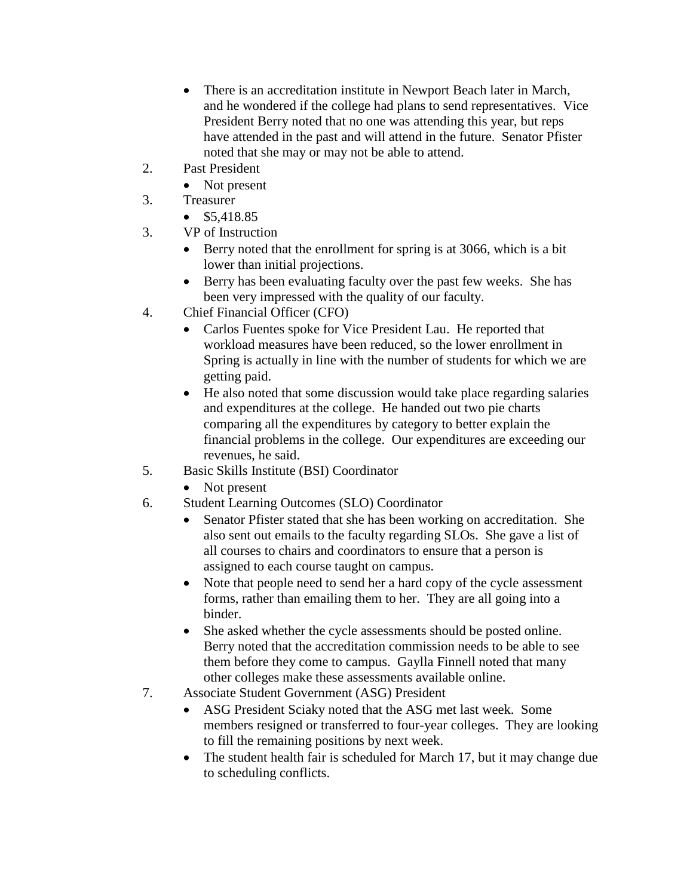- There is an accreditation institute in Newport Beach later in March, and he wondered if the college had plans to send representatives. Vice President Berry noted that no one was attending this year, but reps have attended in the past and will attend in the future. Senator Pfister noted that she may or may not be able to attend.
- 2. Past President
	- Not present
- 3. Treasurer
	- \$5,418.85
- 3. VP of Instruction
	- Berry noted that the enrollment for spring is at 3066, which is a bit lower than initial projections.
	- Berry has been evaluating faculty over the past few weeks. She has been very impressed with the quality of our faculty.
- 4. Chief Financial Officer (CFO)
	- Carlos Fuentes spoke for Vice President Lau. He reported that workload measures have been reduced, so the lower enrollment in Spring is actually in line with the number of students for which we are getting paid.
	- He also noted that some discussion would take place regarding salaries and expenditures at the college. He handed out two pie charts comparing all the expenditures by category to better explain the financial problems in the college. Our expenditures are exceeding our revenues, he said.
- 5. Basic Skills Institute (BSI) Coordinator
	- Not present
- 6. Student Learning Outcomes (SLO) Coordinator
	- Senator Pfister stated that she has been working on accreditation. She also sent out emails to the faculty regarding SLOs. She gave a list of all courses to chairs and coordinators to ensure that a person is assigned to each course taught on campus.
	- Note that people need to send her a hard copy of the cycle assessment forms, rather than emailing them to her. They are all going into a binder.
	- She asked whether the cycle assessments should be posted online. Berry noted that the accreditation commission needs to be able to see them before they come to campus. Gaylla Finnell noted that many other colleges make these assessments available online.
- 7. Associate Student Government (ASG) President
	- ASG President Sciaky noted that the ASG met last week. Some members resigned or transferred to four-year colleges. They are looking to fill the remaining positions by next week.
	- The student health fair is scheduled for March 17, but it may change due to scheduling conflicts.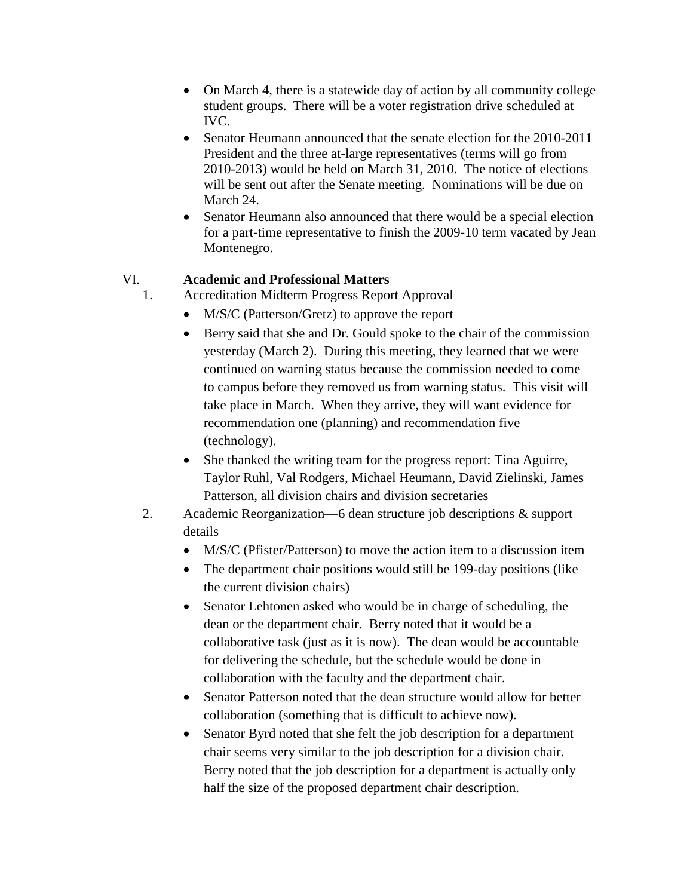- On March 4, there is a statewide day of action by all community college student groups. There will be a voter registration drive scheduled at IVC.
- Senator Heumann announced that the senate election for the 2010-2011 President and the three at-large representatives (terms will go from 2010-2013) would be held on March 31, 2010. The notice of elections will be sent out after the Senate meeting. Nominations will be due on March 24.
- Senator Heumann also announced that there would be a special election for a part-time representative to finish the 2009-10 term vacated by Jean Montenegro.

#### VI. **Academic and Professional Matters**

- 1. Accreditation Midterm Progress Report Approval
	- M/S/C (Patterson/Gretz) to approve the report
	- Berry said that she and Dr. Gould spoke to the chair of the commission yesterday (March 2). During this meeting, they learned that we were continued on warning status because the commission needed to come to campus before they removed us from warning status. This visit will take place in March. When they arrive, they will want evidence for recommendation one (planning) and recommendation five (technology).
	- She thanked the writing team for the progress report: Tina Aguirre, Taylor Ruhl, Val Rodgers, Michael Heumann, David Zielinski, James Patterson, all division chairs and division secretaries
- 2. Academic Reorganization—6 dean structure job descriptions & support details
	- M/S/C (Pfister/Patterson) to move the action item to a discussion item
	- The department chair positions would still be 199-day positions (like the current division chairs)
	- Senator Lehtonen asked who would be in charge of scheduling, the dean or the department chair. Berry noted that it would be a collaborative task (just as it is now). The dean would be accountable for delivering the schedule, but the schedule would be done in collaboration with the faculty and the department chair.
	- Senator Patterson noted that the dean structure would allow for better collaboration (something that is difficult to achieve now).
	- Senator Byrd noted that she felt the job description for a department chair seems very similar to the job description for a division chair. Berry noted that the job description for a department is actually only half the size of the proposed department chair description.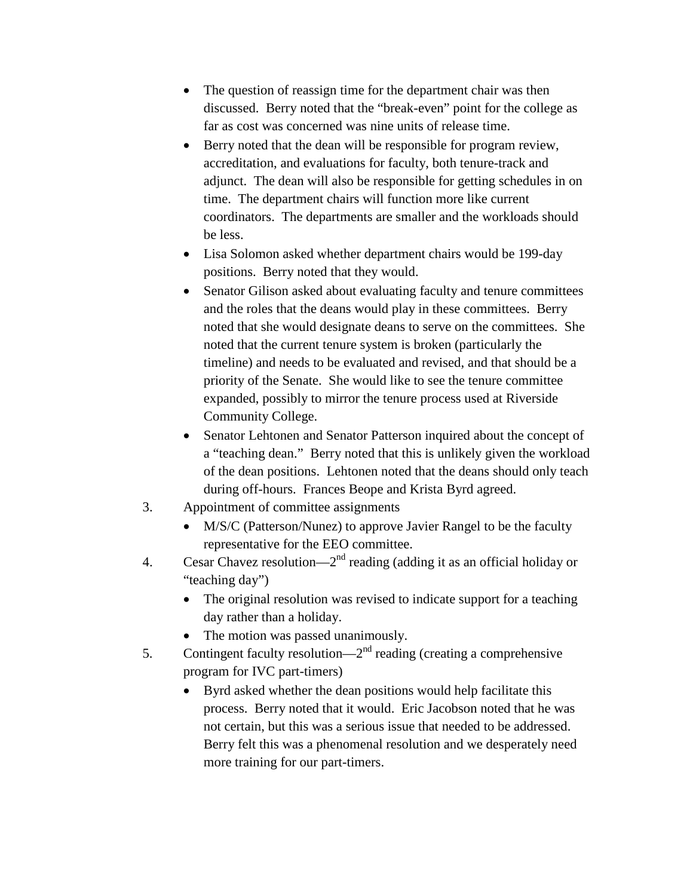- The question of reassign time for the department chair was then discussed. Berry noted that the "break-even" point for the college as far as cost was concerned was nine units of release time.
- Berry noted that the dean will be responsible for program review, accreditation, and evaluations for faculty, both tenure-track and adjunct. The dean will also be responsible for getting schedules in on time. The department chairs will function more like current coordinators. The departments are smaller and the workloads should be less.
- Lisa Solomon asked whether department chairs would be 199-day positions. Berry noted that they would.
- Senator Gilison asked about evaluating faculty and tenure committees and the roles that the deans would play in these committees. Berry noted that she would designate deans to serve on the committees. She noted that the current tenure system is broken (particularly the timeline) and needs to be evaluated and revised, and that should be a priority of the Senate. She would like to see the tenure committee expanded, possibly to mirror the tenure process used at Riverside Community College.
- Senator Lehtonen and Senator Patterson inquired about the concept of a "teaching dean." Berry noted that this is unlikely given the workload of the dean positions. Lehtonen noted that the deans should only teach during off-hours. Frances Beope and Krista Byrd agreed.
- 3. Appointment of committee assignments
	- M/S/C (Patterson/Nunez) to approve Javier Rangel to be the faculty representative for the EEO committee.
- 4. Cesar Chavez resolution— $2<sup>nd</sup>$  reading (adding it as an official holiday or "teaching day")
	- The original resolution was revised to indicate support for a teaching day rather than a holiday.
	- The motion was passed unanimously.
- 5. Contingent faculty resolution— $2<sup>nd</sup>$  reading (creating a comprehensive program for IVC part-timers)
	- Byrd asked whether the dean positions would help facilitate this process. Berry noted that it would. Eric Jacobson noted that he was not certain, but this was a serious issue that needed to be addressed. Berry felt this was a phenomenal resolution and we desperately need more training for our part-timers.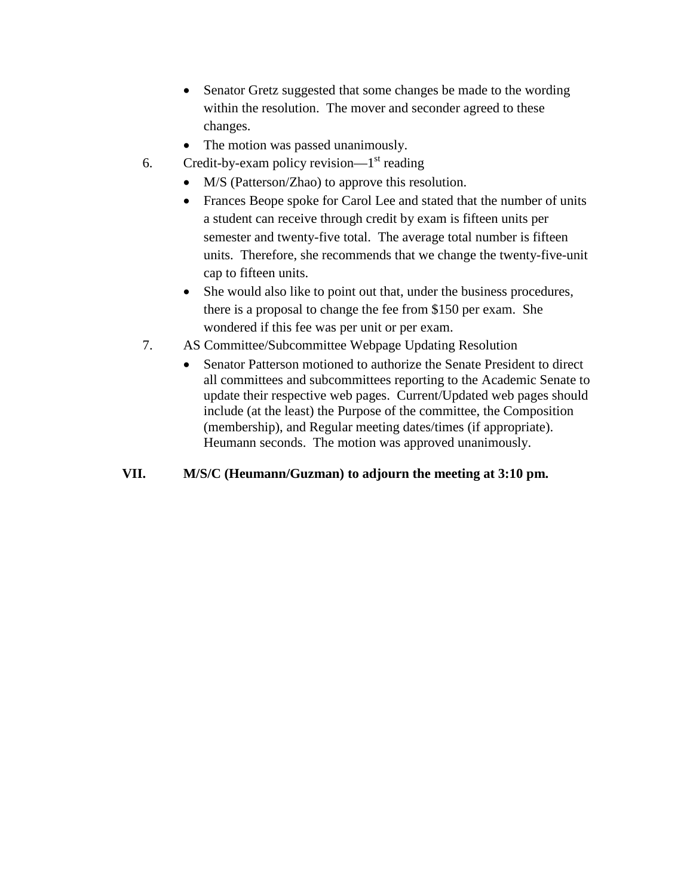- Senator Gretz suggested that some changes be made to the wording within the resolution. The mover and seconder agreed to these changes.
- The motion was passed unanimously.
- 6. Credit-by-exam policy revision— $1<sup>st</sup>$  reading
	- M/S (Patterson/Zhao) to approve this resolution.
	- Frances Beope spoke for Carol Lee and stated that the number of units a student can receive through credit by exam is fifteen units per semester and twenty-five total. The average total number is fifteen units. Therefore, she recommends that we change the twenty-five-unit cap to fifteen units.
	- She would also like to point out that, under the business procedures, there is a proposal to change the fee from \$150 per exam. She wondered if this fee was per unit or per exam.
- 7. AS Committee/Subcommittee Webpage Updating Resolution
	- Senator Patterson motioned to authorize the Senate President to direct all committees and subcommittees reporting to the Academic Senate to update their respective web pages. Current/Updated web pages should include (at the least) the Purpose of the committee, the Composition (membership), and Regular meeting dates/times (if appropriate). Heumann seconds. The motion was approved unanimously.

#### **VII. M/S/C (Heumann/Guzman) to adjourn the meeting at 3:10 pm.**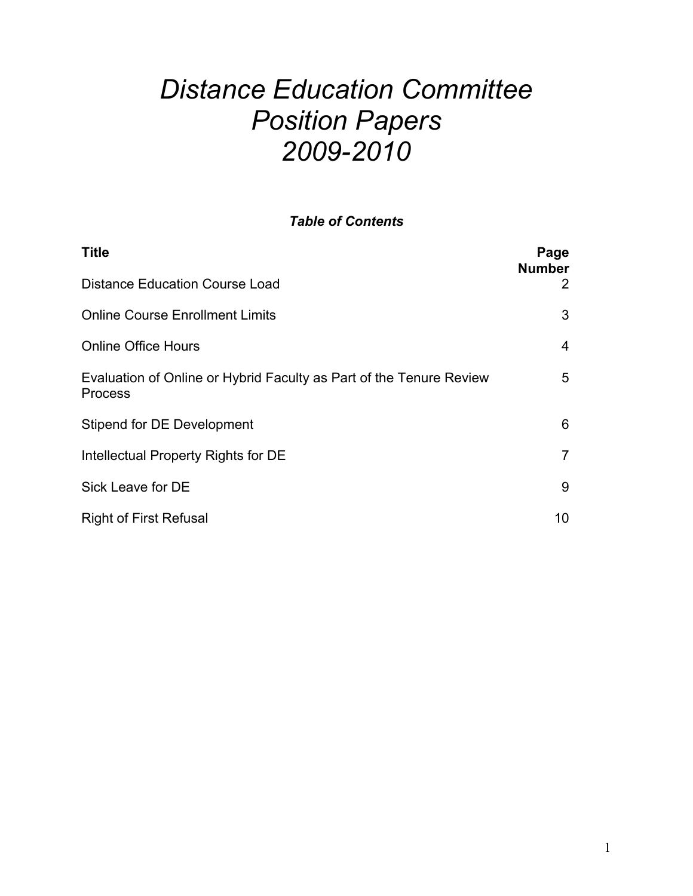# *Distance Education Committee Position Papers 2009-2010*

#### *Table of Contents*

| <b>Title</b>                                                                          | Page<br><b>Number</b> |
|---------------------------------------------------------------------------------------|-----------------------|
| <b>Distance Education Course Load</b>                                                 | 2                     |
| <b>Online Course Enrollment Limits</b>                                                | 3                     |
| <b>Online Office Hours</b>                                                            | $\overline{4}$        |
| Evaluation of Online or Hybrid Faculty as Part of the Tenure Review<br><b>Process</b> | 5                     |
| Stipend for DE Development                                                            | 6                     |
| Intellectual Property Rights for DE                                                   | $\overline{7}$        |
| Sick Leave for DE                                                                     | 9                     |
| <b>Right of First Refusal</b>                                                         | 10 <sup>°</sup>       |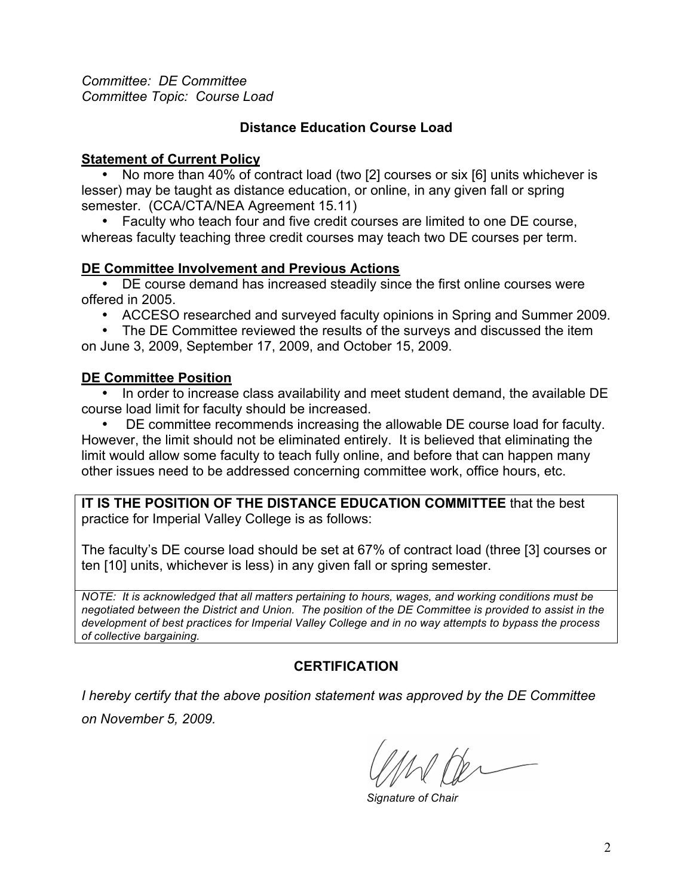*Committee: DE Committee Committee Topic: Course Load*

#### **Distance Education Course Load**

#### **Statement of Current Policy**

• No more than 40% of contract load (two [2] courses or six [6] units whichever is lesser) may be taught as distance education, or online, in any given fall or spring semester. (CCA/CTA/NEA Agreement 15.11)

• Faculty who teach four and five credit courses are limited to one DE course, whereas faculty teaching three credit courses may teach two DE courses per term.

#### **DE Committee Involvement and Previous Actions**

• DE course demand has increased steadily since the first online courses were offered in 2005.

• ACCESO researched and surveyed faculty opinions in Spring and Summer 2009.

• The DE Committee reviewed the results of the surveys and discussed the item on June 3, 2009, September 17, 2009, and October 15, 2009.

#### **DE Committee Position**

• In order to increase class availability and meet student demand, the available DE course load limit for faculty should be increased.

• DE committee recommends increasing the allowable DE course load for faculty. However, the limit should not be eliminated entirely. It is believed that eliminating the limit would allow some faculty to teach fully online, and before that can happen many other issues need to be addressed concerning committee work, office hours, etc.

**IT IS THE POSITION OF THE DISTANCE EDUCATION COMMITTEE** that the best practice for Imperial Valley College is as follows:

The faculty's DE course load should be set at 67% of contract load (three [3] courses or ten [10] units, whichever is less) in any given fall or spring semester.

*NOTE: It is acknowledged that all matters pertaining to hours, wages, and working conditions must be negotiated between the District and Union. The position of the DE Committee is provided to assist in the development of best practices for Imperial Valley College and in no way attempts to bypass the process of collective bargaining.* 

#### **CERTIFICATION**

*Signature of Chair*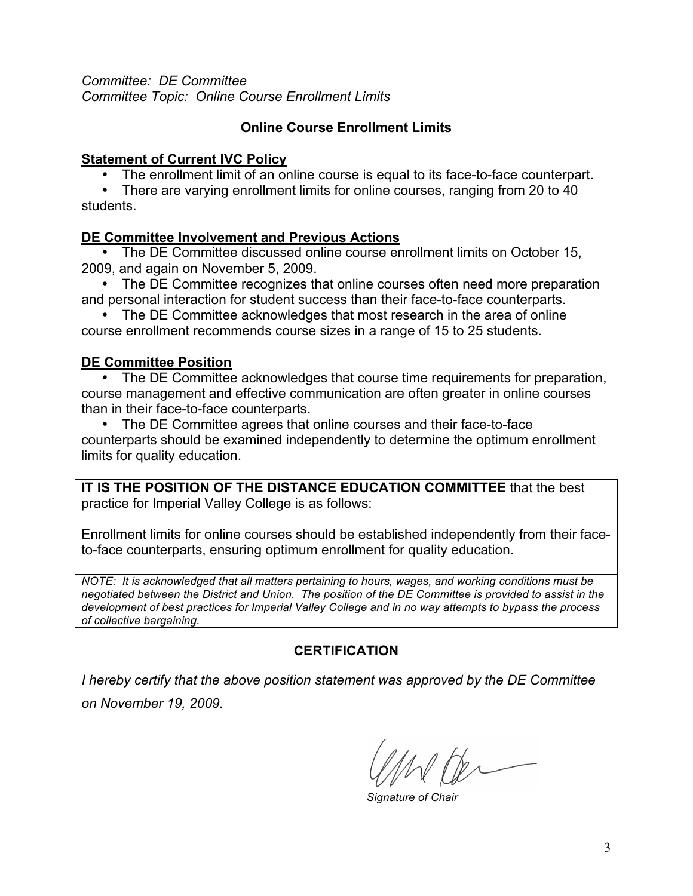*Committee: DE Committee Committee Topic: Online Course Enrollment Limits* 

#### **Online Course Enrollment Limits**

#### **Statement of Current IVC Policy**

• The enrollment limit of an online course is equal to its face-to-face counterpart.

• There are varying enrollment limits for online courses, ranging from 20 to 40 students.

#### **DE Committee Involvement and Previous Actions**

• The DE Committee discussed online course enrollment limits on October 15, 2009, and again on November 5, 2009.

• The DE Committee recognizes that online courses often need more preparation and personal interaction for student success than their face-to-face counterparts.

• The DE Committee acknowledges that most research in the area of online course enrollment recommends course sizes in a range of 15 to 25 students.

#### **DE Committee Position**

• The DE Committee acknowledges that course time requirements for preparation, course management and effective communication are often greater in online courses than in their face-to-face counterparts.

• The DE Committee agrees that online courses and their face-to-face counterparts should be examined independently to determine the optimum enrollment limits for quality education.

**IT IS THE POSITION OF THE DISTANCE EDUCATION COMMITTEE** that the best practice for Imperial Valley College is as follows:

Enrollment limits for online courses should be established independently from their faceto-face counterparts, ensuring optimum enrollment for quality education.

*NOTE: It is acknowledged that all matters pertaining to hours, wages, and working conditions must be negotiated between the District and Union. The position of the DE Committee is provided to assist in the development of best practices for Imperial Valley College and in no way attempts to bypass the process of collective bargaining.* 

#### **CERTIFICATION**

*I hereby certify that the above position statement was approved by the DE Committee* 

*on November 19, 2009.* 

*Signature of Chair*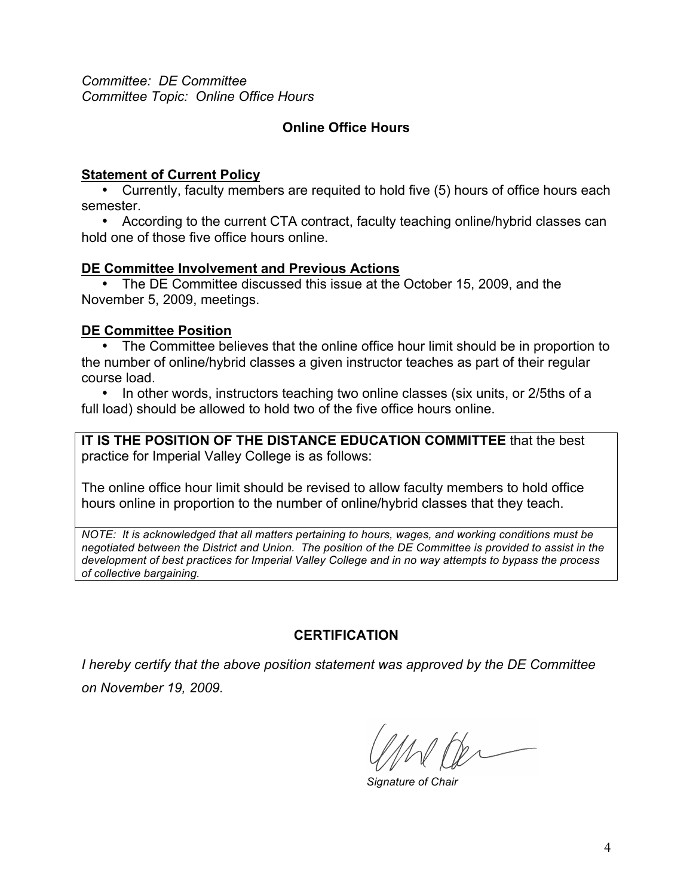*Committee: DE Committee Committee Topic: Online Office Hours*

#### **Online Office Hours**

#### **Statement of Current Policy**

• Currently, faculty members are requited to hold five (5) hours of office hours each semester.

• According to the current CTA contract, faculty teaching online/hybrid classes can hold one of those five office hours online.

#### **DE Committee Involvement and Previous Actions**

• The DE Committee discussed this issue at the October 15, 2009, and the November 5, 2009, meetings.

#### **DE Committee Position**

• The Committee believes that the online office hour limit should be in proportion to the number of online/hybrid classes a given instructor teaches as part of their regular course load.

• In other words, instructors teaching two online classes (six units, or 2/5ths of a full load) should be allowed to hold two of the five office hours online.

**IT IS THE POSITION OF THE DISTANCE EDUCATION COMMITTEE** that the best practice for Imperial Valley College is as follows:

The online office hour limit should be revised to allow faculty members to hold office hours online in proportion to the number of online/hybrid classes that they teach.

*NOTE: It is acknowledged that all matters pertaining to hours, wages, and working conditions must be negotiated between the District and Union. The position of the DE Committee is provided to assist in the development of best practices for Imperial Valley College and in no way attempts to bypass the process of collective bargaining.* 

#### **CERTIFICATION**

 $\sqrt{h}$ 

*Signature of Chair*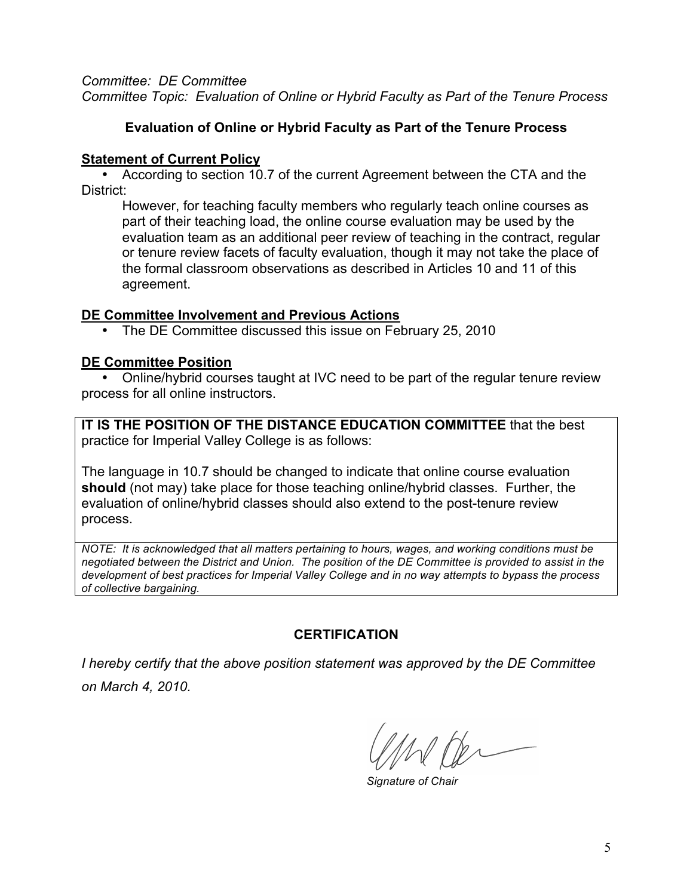*Committee: DE Committee Committee Topic: Evaluation of Online or Hybrid Faculty as Part of the Tenure Process*

#### **Evaluation of Online or Hybrid Faculty as Part of the Tenure Process**

#### **Statement of Current Policy**

• According to section 10.7 of the current Agreement between the CTA and the District:

However, for teaching faculty members who regularly teach online courses as part of their teaching load, the online course evaluation may be used by the evaluation team as an additional peer review of teaching in the contract, regular or tenure review facets of faculty evaluation, though it may not take the place of the formal classroom observations as described in Articles 10 and 11 of this agreement.

#### **DE Committee Involvement and Previous Actions**

• The DE Committee discussed this issue on February 25, 2010

#### **DE Committee Position**

• Online/hybrid courses taught at IVC need to be part of the regular tenure review process for all online instructors.

**IT IS THE POSITION OF THE DISTANCE EDUCATION COMMITTEE** that the best practice for Imperial Valley College is as follows:

The language in 10.7 should be changed to indicate that online course evaluation **should** (not may) take place for those teaching online/hybrid classes. Further, the evaluation of online/hybrid classes should also extend to the post-tenure review process.

*NOTE: It is acknowledged that all matters pertaining to hours, wages, and working conditions must be negotiated between the District and Union. The position of the DE Committee is provided to assist in the development of best practices for Imperial Valley College and in no way attempts to bypass the process of collective bargaining.* 

#### **CERTIFICATION**

 $M/m$ 

*Signature of Chair*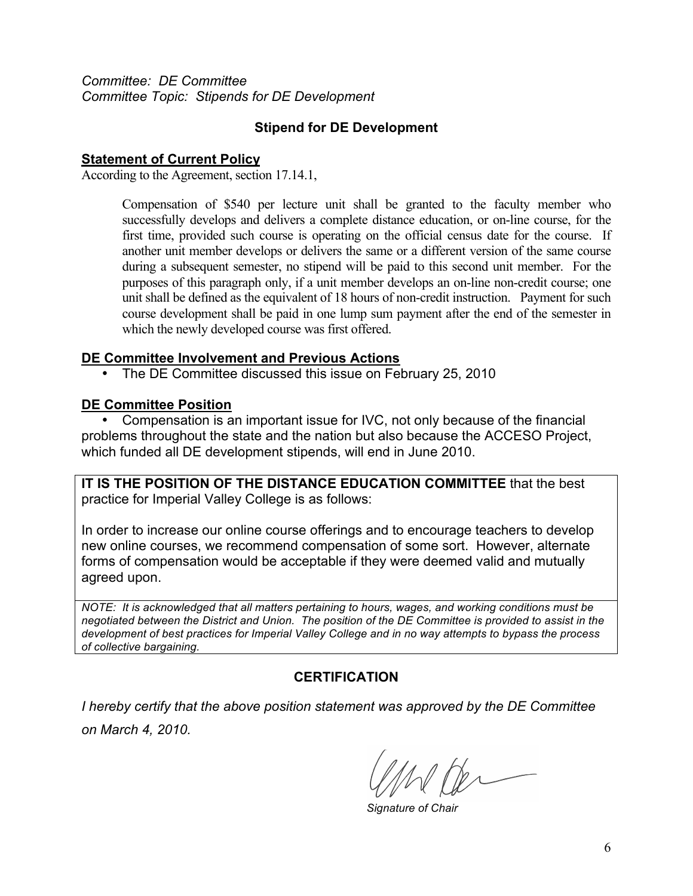*Committee: DE Committee Committee Topic: Stipends for DE Development*

#### **Stipend for DE Development**

#### **Statement of Current Policy**

According to the Agreement, section 17.14.1,

Compensation of \$540 per lecture unit shall be granted to the faculty member who successfully develops and delivers a complete distance education, or on-line course, for the first time, provided such course is operating on the official census date for the course. If another unit member develops or delivers the same or a different version of the same course during a subsequent semester, no stipend will be paid to this second unit member. For the purposes of this paragraph only, if a unit member develops an on-line non-credit course; one unit shall be defined as the equivalent of 18 hours of non-credit instruction. Payment for such course development shall be paid in one lump sum payment after the end of the semester in which the newly developed course was first offered.

#### **DE Committee Involvement and Previous Actions**

• The DE Committee discussed this issue on February 25, 2010

#### **DE Committee Position**

• Compensation is an important issue for IVC, not only because of the financial problems throughout the state and the nation but also because the ACCESO Project, which funded all DE development stipends, will end in June 2010.

**IT IS THE POSITION OF THE DISTANCE EDUCATION COMMITTEE** that the best practice for Imperial Valley College is as follows:

In order to increase our online course offerings and to encourage teachers to develop new online courses, we recommend compensation of some sort. However, alternate forms of compensation would be acceptable if they were deemed valid and mutually agreed upon.

*NOTE: It is acknowledged that all matters pertaining to hours, wages, and working conditions must be negotiated between the District and Union. The position of the DE Committee is provided to assist in the development of best practices for Imperial Valley College and in no way attempts to bypass the process of collective bargaining.* 

#### **CERTIFICATION**

Whi

*Signature of Chair*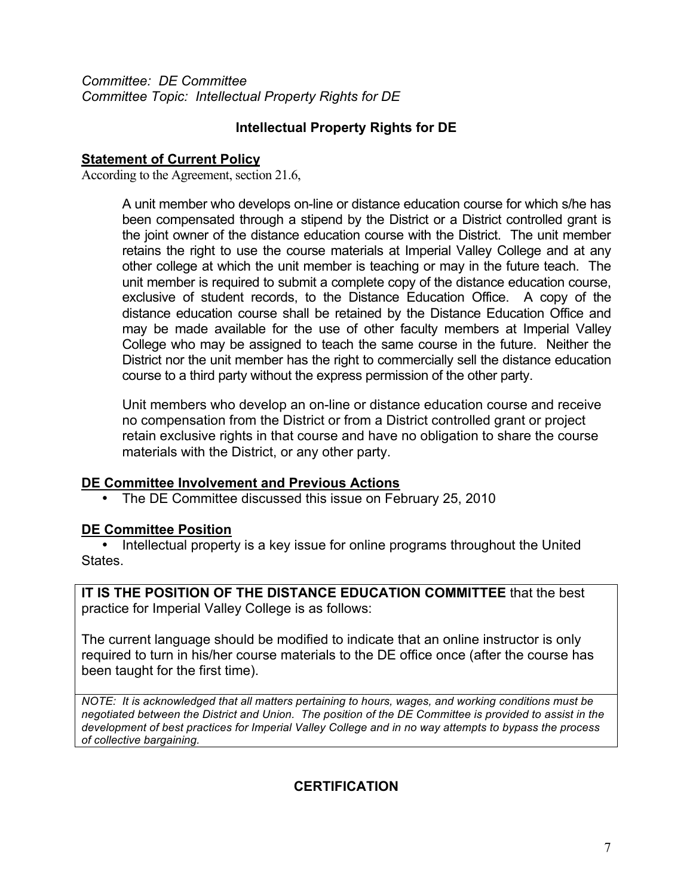*Committee: DE Committee Committee Topic: Intellectual Property Rights for DE*

#### **Intellectual Property Rights for DE**

#### **Statement of Current Policy**

According to the Agreement, section 21.6,

A unit member who develops on-line or distance education course for which s/he has been compensated through a stipend by the District or a District controlled grant is the joint owner of the distance education course with the District. The unit member retains the right to use the course materials at Imperial Valley College and at any other college at which the unit member is teaching or may in the future teach. The unit member is required to submit a complete copy of the distance education course, exclusive of student records, to the Distance Education Office. A copy of the distance education course shall be retained by the Distance Education Office and may be made available for the use of other faculty members at Imperial Valley College who may be assigned to teach the same course in the future. Neither the District nor the unit member has the right to commercially sell the distance education course to a third party without the express permission of the other party.

Unit members who develop an on-line or distance education course and receive no compensation from the District or from a District controlled grant or project retain exclusive rights in that course and have no obligation to share the course materials with the District, or any other party.

#### **DE Committee Involvement and Previous Actions**

• The DE Committee discussed this issue on February 25, 2010

#### **DE Committee Position**

• Intellectual property is a key issue for online programs throughout the United States.

**IT IS THE POSITION OF THE DISTANCE EDUCATION COMMITTEE** that the best practice for Imperial Valley College is as follows:

The current language should be modified to indicate that an online instructor is only required to turn in his/her course materials to the DE office once (after the course has been taught for the first time).

*NOTE: It is acknowledged that all matters pertaining to hours, wages, and working conditions must be negotiated between the District and Union. The position of the DE Committee is provided to assist in the development of best practices for Imperial Valley College and in no way attempts to bypass the process of collective bargaining.* 

#### **CERTIFICATION**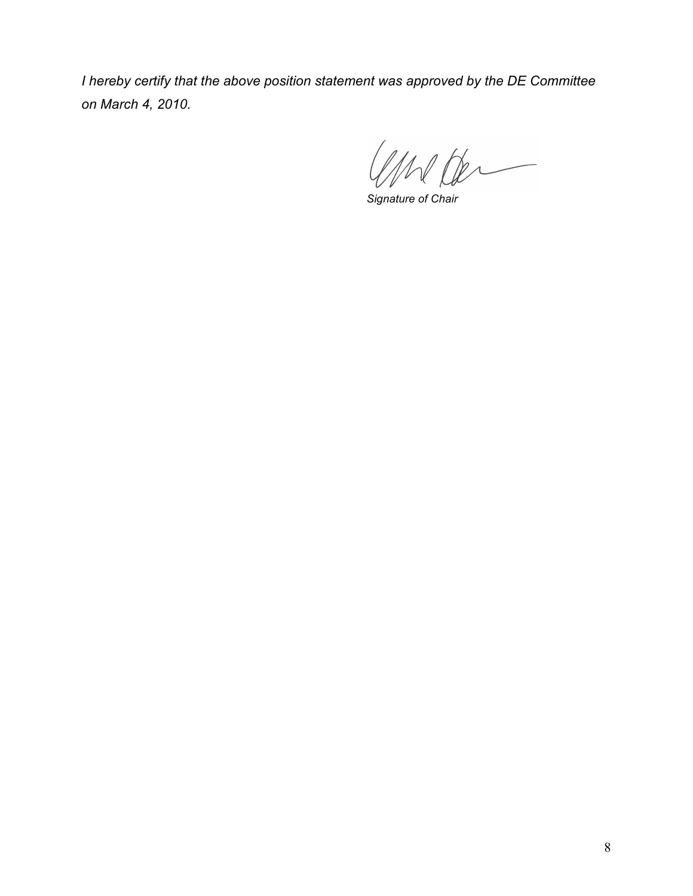1 Der

*Signature of Chair*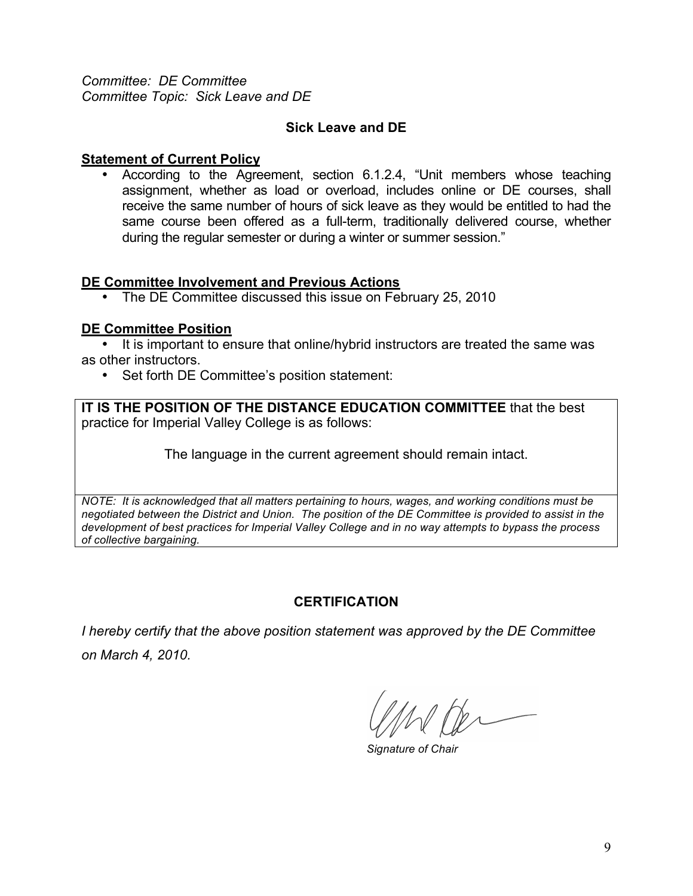*Committee: DE Committee Committee Topic: Sick Leave and DE*

#### **Sick Leave and DE**

#### **Statement of Current Policy**

• According to the Agreement, section 6.1.2.4, "Unit members whose teaching assignment, whether as load or overload, includes online or DE courses, shall receive the same number of hours of sick leave as they would be entitled to had the same course been offered as a full-term, traditionally delivered course, whether during the regular semester or during a winter or summer session."

#### **DE Committee Involvement and Previous Actions**

• The DE Committee discussed this issue on February 25, 2010

#### **DE Committee Position**

• It is important to ensure that online/hybrid instructors are treated the same was as other instructors.

• Set forth DE Committee's position statement:

**IT IS THE POSITION OF THE DISTANCE EDUCATION COMMITTEE** that the best practice for Imperial Valley College is as follows:

The language in the current agreement should remain intact.

*NOTE: It is acknowledged that all matters pertaining to hours, wages, and working conditions must be negotiated between the District and Union. The position of the DE Committee is provided to assist in the development of best practices for Imperial Valley College and in no way attempts to bypass the process of collective bargaining.* 

#### **CERTIFICATION**

*Signature of Chair*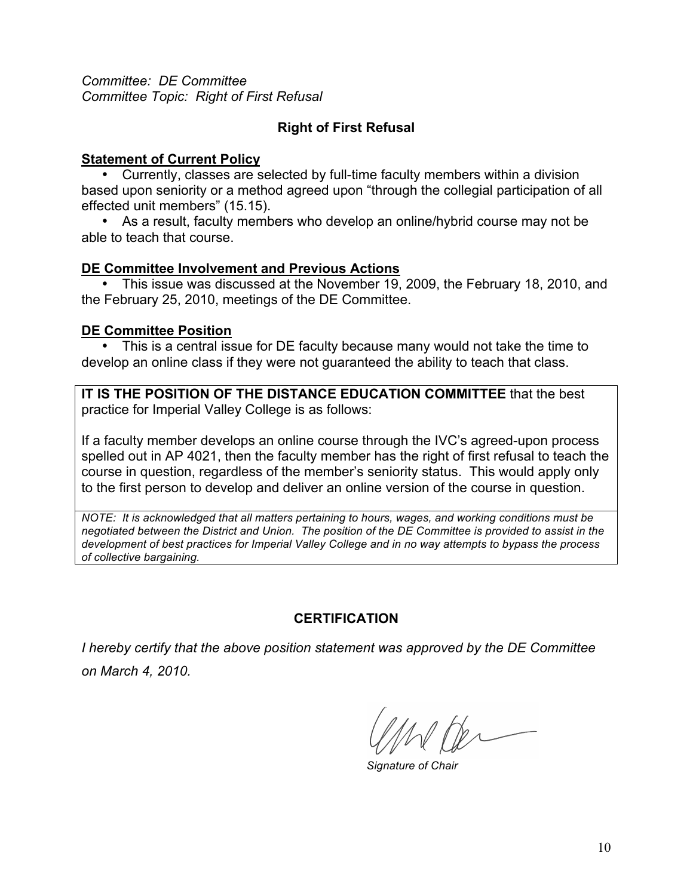*Committee: DE Committee Committee Topic: Right of First Refusal*

#### **Right of First Refusal**

#### **Statement of Current Policy**

• Currently, classes are selected by full-time faculty members within a division based upon seniority or a method agreed upon "through the collegial participation of all effected unit members" (15.15).

• As a result, faculty members who develop an online/hybrid course may not be able to teach that course.

#### **DE Committee Involvement and Previous Actions**

• This issue was discussed at the November 19, 2009, the February 18, 2010, and the February 25, 2010, meetings of the DE Committee.

#### **DE Committee Position**

• This is a central issue for DE faculty because many would not take the time to develop an online class if they were not guaranteed the ability to teach that class.

**IT IS THE POSITION OF THE DISTANCE EDUCATION COMMITTEE** that the best practice for Imperial Valley College is as follows:

If a faculty member develops an online course through the IVC's agreed-upon process spelled out in AP 4021, then the faculty member has the right of first refusal to teach the course in question, regardless of the member's seniority status. This would apply only to the first person to develop and deliver an online version of the course in question.

*NOTE: It is acknowledged that all matters pertaining to hours, wages, and working conditions must be negotiated between the District and Union. The position of the DE Committee is provided to assist in the development of best practices for Imperial Valley College and in no way attempts to bypass the process of collective bargaining.* 

#### **CERTIFICATION**

*Signature of Chair*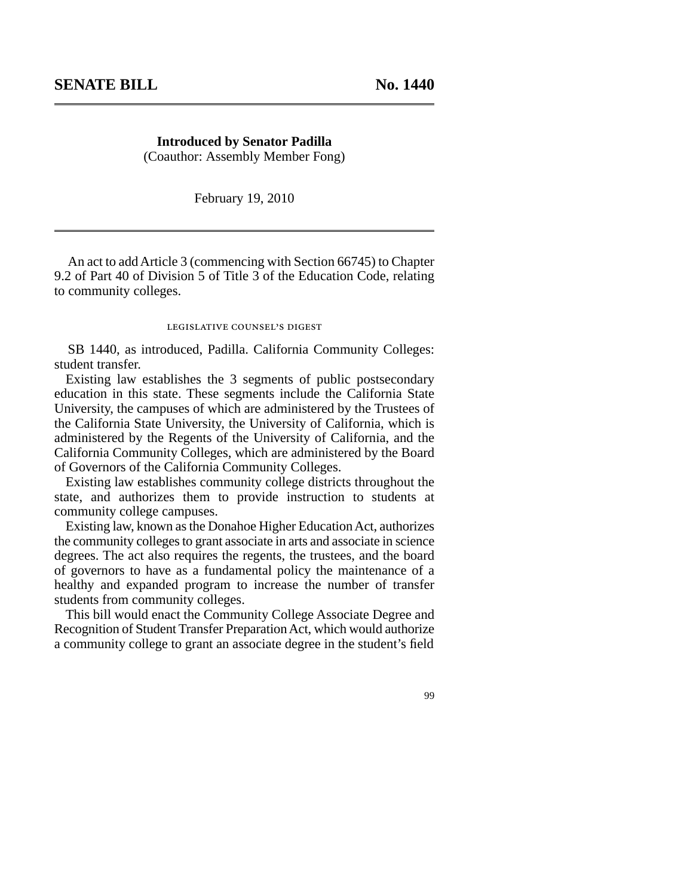**Introduced by Senator Padilla** (Coauthor: Assembly Member Fong)

February 19, 2010

An act to add Article 3 (commencing with Section 66745) to Chapter 9.2 of Part 40 of Division 5 of Title 3 of the Education Code, relating to community colleges.

#### legislative counsel' s digest

SB 1440, as introduced, Padilla. California Community Colleges: student transfer.

Existing law establishes the 3 segments of public postsecondary education in this state. These segments include the California State University, the campuses of which are administered by the Trustees of the California State University, the University of California, which is administered by the Regents of the University of California, and the California Community Colleges, which are administered by the Board of Governors of the California Community Colleges.

Existing law establishes community college districts throughout the state, and authorizes them to provide instruction to students at community college campuses.

Existing law, known as the Donahoe Higher Education Act, authorizes the community colleges to grant associate in arts and associate in science degrees. The act also requires the regents, the trustees, and the board of governors to have as a fundamental policy the maintenance of a healthy and expanded program to increase the number of transfer students from community colleges.

This bill would enact the Community College Associate Degree and Recognition of Student Transfer Preparation Act, which would authorize a community college to grant an associate degree in the student's field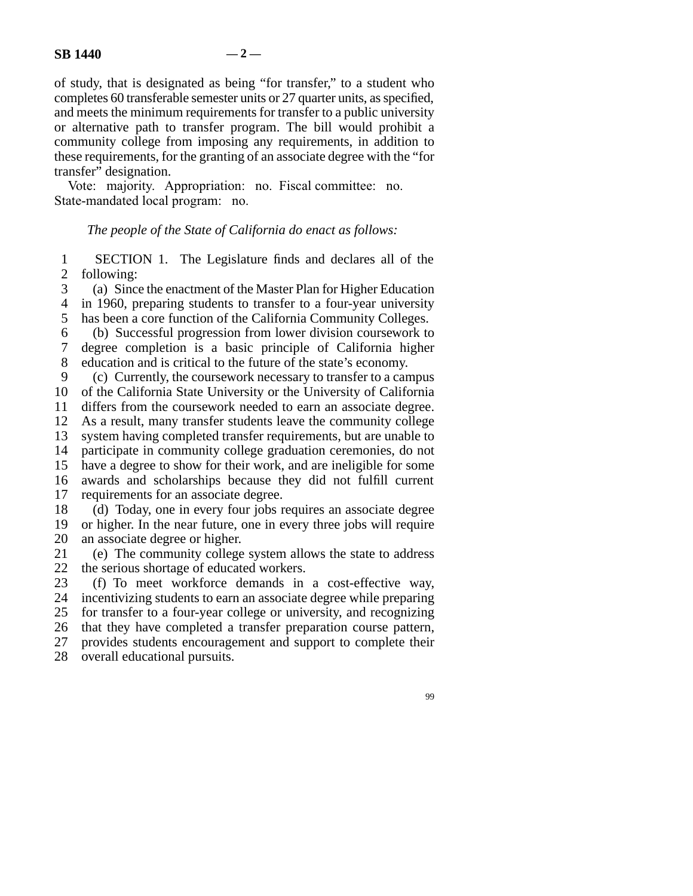of study, that is designated as being "for transfer," to a student who completes 60 transferable semester units or 27 quarter units, as specified, and meets the minimum requirements for transfer to a public university or alternative path to transfer program. The bill would prohibit a community college from imposing any requirements, in addition to these requirements, for the granting of an associate degree with the "for transfer" designation.

Vote: majority. Appropriation: no. Fiscal committee: no. State-mandated local program: no.

#### *The people of the State of California do enact as follows:*

1 2 SECTION 1. The Legislature finds and declares all of the following:

3 4 (a) Since the enactment of the Master Plan for Higher Education in 1960, preparing students to transfer to a four-year university

5 has been a core function of the California Community Colleges.

6 7 (b) Successful progression from lower division coursework to degree completion is a basic principle of California higher

8 education and is critical to the future of the state's economy.

9 10 (c) Currently, the coursework necessary to transfer to a campus of the California State University or the University of California

11 differs from the coursework needed to earn an associate degree.

12 As a result, many transfer students leave the community college

13 system having completed transfer requirements, but are unable to

14 15 participate in community college graduation ceremonies, do not have a degree to show for their work, and are ineligible for some

16 awards and scholarships because they did not fulfill current

17 requirements for an associate degree.

18 19 20 (d) Today, one in every four jobs requires an associate degree or higher. In the near future, one in every three jobs will require an associate degree or higher.

21 22 (e) The community college system allows the state to address the serious shortage of educated workers.

23 24 25 26 27 (f) To meet workforce demands in a cost-effective way, incentivizing students to earn an associate degree while preparing for transfer to a four-year college or university, and recognizing that they have completed a transfer preparation course pattern, provides students encouragement and support to complete their

28 overall educational pursuits.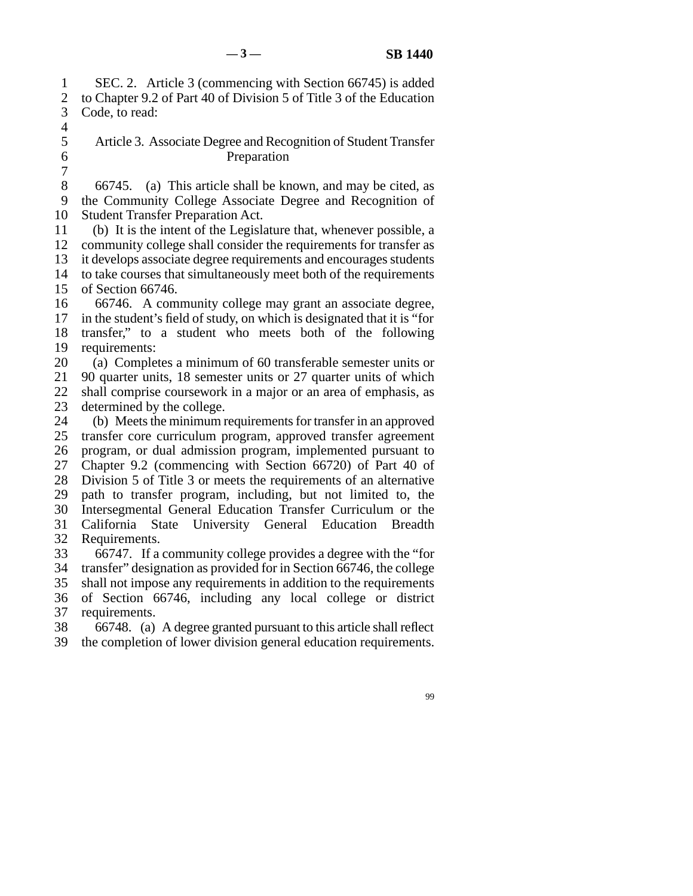1 2 3 4 SEC. 2. Article 3 (commencing with Section 66745) is added to Chapter 9.2 of Part 40 of Division 5 of Title 3 of the Education Code, to read:

Article 3. Associate Degree and Recognition of Student Transfer Preparation

8 9 10 66745. (a) This article shall be known, and may be cited, as the Community College Associate Degree and Recognition of Student Transfer Preparation Act.

11 12 13 14 15 (b) It is the intent of the Legislature that, whenever possible, a community college shall consider the requirements for transfer as it develops associate degree requirements and encourages students to take courses that simultaneously meet both of the requirements of Section 66746.

16 17 18 19 66746. A community college may grant an associate degree, in the student's field of study, on which is designated that it is "for transfer," to a student who meets both of the following requirements:

20 (a) Completes a minimum of 60 transferable semester units or

21 22 90 quarter units, 18 semester units or 27 quarter units of which shall comprise coursework in a major or an area of emphasis, as

23 determined by the college.

5 6 7

24 25 26 27 28 29 30 31 32 (b) Meets the minimum requirements for transfer in an approved transfer core curriculum program, approved transfer agreement program, or dual admission program, implemented pursuant to Chapter 9.2 (commencing with Section 66720) of Part 40 of Division 5 of Title 3 or meets the requirements of an alternative path to transfer program, including, but not limited to, the Intersegmental General Education Transfer Curriculum or the California State University General Education Breadth Requirements.

33 66747. If a community college provides a degree with the "for

34 transfer" designation as provided for in Section 66746, the college

35 shall not impose any requirements in addition to the requirements

36 37 of Section 66746, including any local college or district requirements.

38 66748. (a) A degree granted pursuant to this article shall reflect

39 the completion of lower division general education requirements.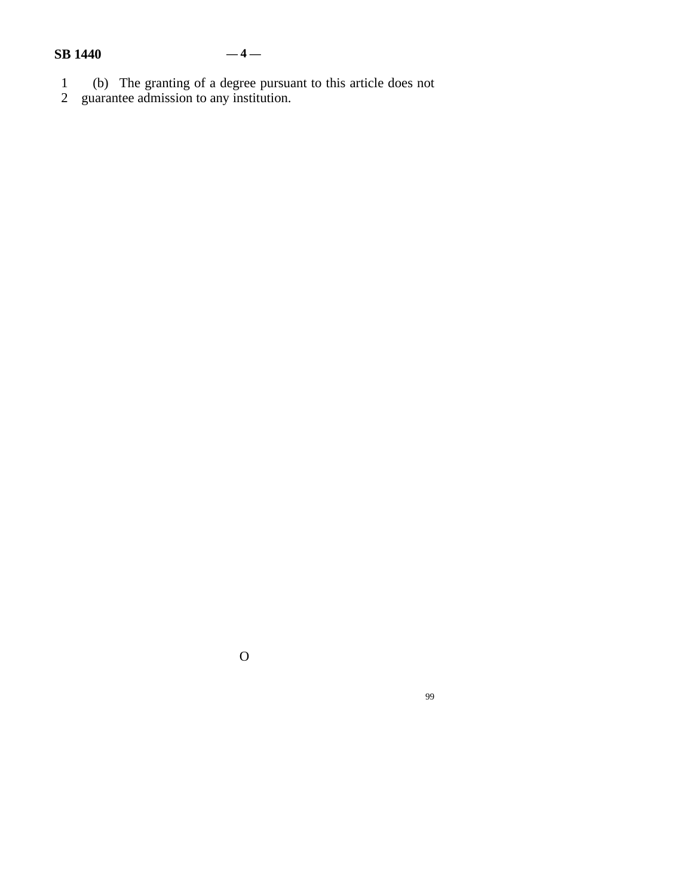#### **SB 1440 — 4 —**

- 
- 1 (b) The granting of a degree pursuant to this article does not
- 2 guarantee admission to any institution.

O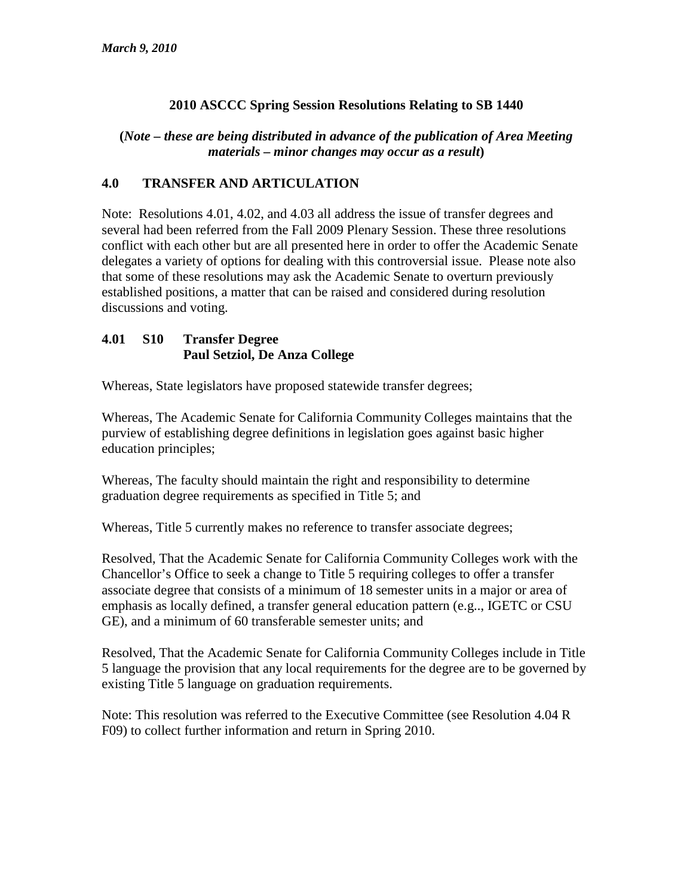#### **2010 ASCCC Spring Session Resolutions Relating to SB 1440**

#### **(***Note – these are being distributed in advance of the publication of Area Meeting materials – minor changes may occur as a result***)**

#### **4.0 TRANSFER AND ARTICULATION**

Note: Resolutions 4.01, 4.02, and 4.03 all address the issue of transfer degrees and several had been referred from the Fall 2009 Plenary Session. These three resolutions conflict with each other but are all presented here in order to offer the Academic Senate delegates a variety of options for dealing with this controversial issue. Please note also that some of these resolutions may ask the Academic Senate to overturn previously established positions, a matter that can be raised and considered during resolution discussions and voting.

#### **4.01 S10 Transfer Degree Paul Setziol, De Anza College**

Whereas, State legislators have proposed statewide transfer degrees;

Whereas, The Academic Senate for California Community Colleges maintains that the purview of establishing degree definitions in legislation goes against basic higher education principles;

Whereas, The faculty should maintain the right and responsibility to determine graduation degree requirements as specified in Title 5; and

Whereas, Title 5 currently makes no reference to transfer associate degrees;

Resolved, That the Academic Senate for California Community Colleges work with the Chancellor's Office to seek a change to Title 5 requiring colleges to offer a transfer associate degree that consists of a minimum of 18 semester units in a major or area of emphasis as locally defined, a transfer general education pattern (e.g.., IGETC or CSU GE), and a minimum of 60 transferable semester units; and

Resolved, That the Academic Senate for California Community Colleges include in Title 5 language the provision that any local requirements for the degree are to be governed by existing Title 5 language on graduation requirements.

Note: This resolution was referred to the Executive Committee (see Resolution 4.04 R F09) to collect further information and return in Spring 2010.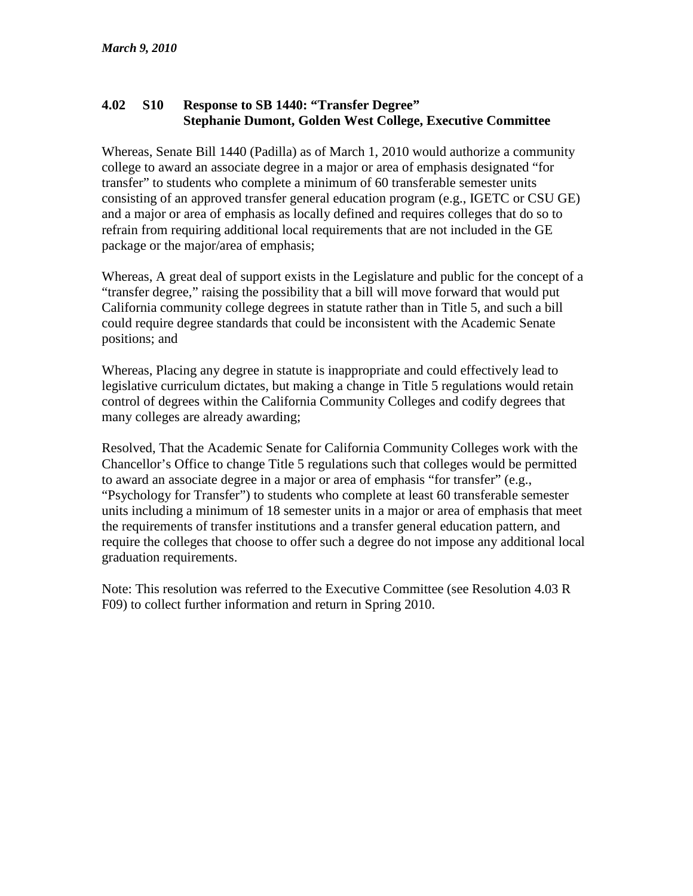#### **4.02 S10 Response to SB 1440: "Transfer Degree" Stephanie Dumont, Golden West College, Executive Committee**

Whereas, Senate Bill 1440 (Padilla) as of March 1, 2010 would authorize a community college to award an associate degree in a major or area of emphasis designated "for transfer" to students who complete a minimum of 60 transferable semester units consisting of an approved transfer general education program (e.g., IGETC or CSU GE) and a major or area of emphasis as locally defined and requires colleges that do so to refrain from requiring additional local requirements that are not included in the GE package or the major/area of emphasis;

Whereas, A great deal of support exists in the Legislature and public for the concept of a "transfer degree," raising the possibility that a bill will move forward that would put California community college degrees in statute rather than in Title 5, and such a bill could require degree standards that could be inconsistent with the Academic Senate positions; and

Whereas, Placing any degree in statute is inappropriate and could effectively lead to legislative curriculum dictates, but making a change in Title 5 regulations would retain control of degrees within the California Community Colleges and codify degrees that many colleges are already awarding;

Resolved, That the Academic Senate for California Community Colleges work with the Chancellor's Office to change Title 5 regulations such that colleges would be permitted to award an associate degree in a major or area of emphasis "for transfer" (e.g., "Psychology for Transfer") to students who complete at least 60 transferable semester units including a minimum of 18 semester units in a major or area of emphasis that meet the requirements of transfer institutions and a transfer general education pattern, and require the colleges that choose to offer such a degree do not impose any additional local graduation requirements.

Note: This resolution was referred to the Executive Committee (see Resolution 4.03 R F09) to collect further information and return in Spring 2010.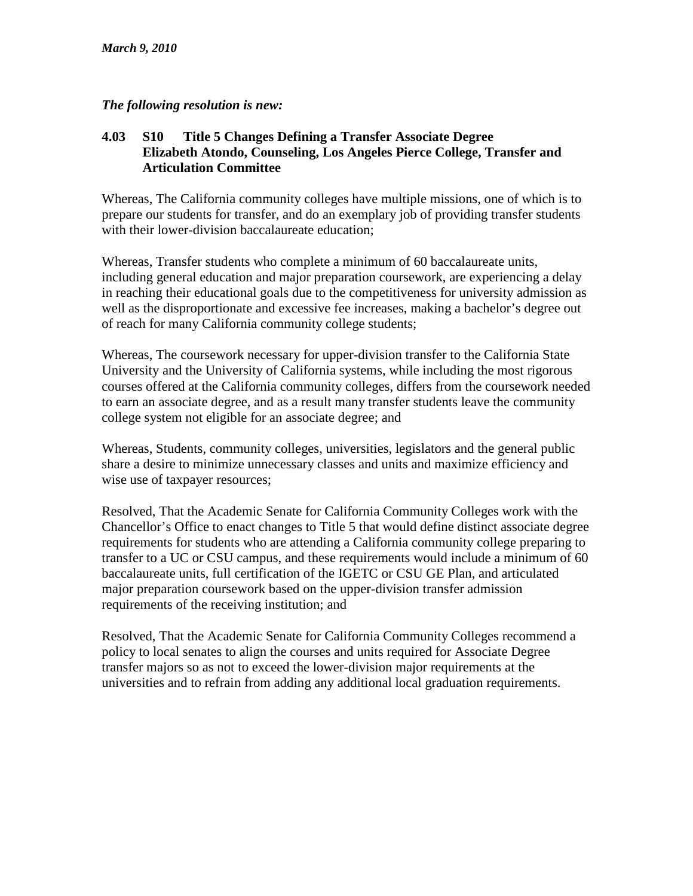#### *The following resolution is new:*

#### **4.03 S10 Title 5 Changes Defining a Transfer Associate Degree Elizabeth Atondo, Counseling, Los Angeles Pierce College, Transfer and Articulation Committee**

Whereas, The California community colleges have multiple missions, one of which is to prepare our students for transfer, and do an exemplary job of providing transfer students with their lower-division baccalaureate education:

Whereas, Transfer students who complete a minimum of 60 baccalaureate units, including general education and major preparation coursework, are experiencing a delay in reaching their educational goals due to the competitiveness for university admission as well as the disproportionate and excessive fee increases, making a bachelor's degree out of reach for many California community college students;

Whereas, The coursework necessary for upper-division transfer to the California State University and the University of California systems, while including the most rigorous courses offered at the California community colleges, differs from the coursework needed to earn an associate degree, and as a result many transfer students leave the community college system not eligible for an associate degree; and

Whereas, Students, community colleges, universities, legislators and the general public share a desire to minimize unnecessary classes and units and maximize efficiency and wise use of taxpayer resources;

Resolved, That the Academic Senate for California Community Colleges work with the Chancellor's Office to enact changes to Title 5 that would define distinct associate degree requirements for students who are attending a California community college preparing to transfer to a UC or CSU campus, and these requirements would include a minimum of 60 baccalaureate units, full certification of the IGETC or CSU GE Plan, and articulated major preparation coursework based on the upper-division transfer admission requirements of the receiving institution; and

Resolved, That the Academic Senate for California Community Colleges recommend a policy to local senates to align the courses and units required for Associate Degree transfer majors so as not to exceed the lower-division major requirements at the universities and to refrain from adding any additional local graduation requirements.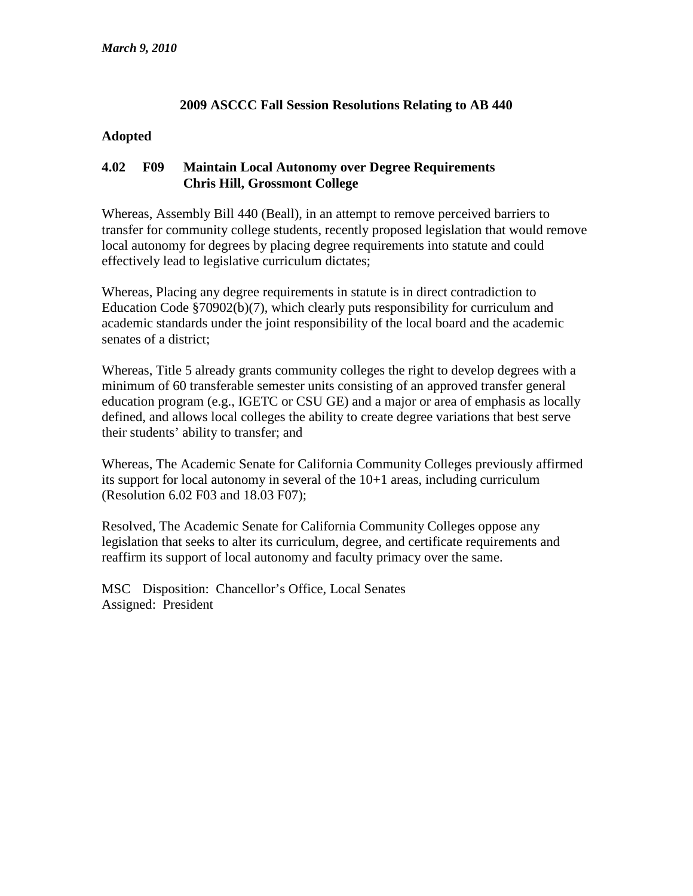#### **2009 ASCCC Fall Session Resolutions Relating to AB 440**

#### **Adopted**

#### **4.02 F09 Maintain Local Autonomy over Degree Requirements Chris Hill, Grossmont College**

Whereas, Assembly Bill 440 (Beall), in an attempt to remove perceived barriers to transfer for community college students, recently proposed legislation that would remove local autonomy for degrees by placing degree requirements into statute and could effectively lead to legislative curriculum dictates;

Whereas, Placing any degree requirements in statute is in direct contradiction to Education Code §70902(b)(7), which clearly puts responsibility for curriculum and academic standards under the joint responsibility of the local board and the academic senates of a district;

Whereas, Title 5 already grants community colleges the right to develop degrees with a minimum of 60 transferable semester units consisting of an approved transfer general education program (e.g., IGETC or CSU GE) and a major or area of emphasis as locally defined, and allows local colleges the ability to create degree variations that best serve their students' ability to transfer; and

Whereas, The Academic Senate for California Community Colleges previously affirmed its support for local autonomy in several of the 10+1 areas, including curriculum (Resolution 6.02 F03 and 18.03 F07);

Resolved, The Academic Senate for California Community Colleges oppose any legislation that seeks to alter its curriculum, degree, and certificate requirements and reaffirm its support of local autonomy and faculty primacy over the same.

MSC Disposition: Chancellor's Office, Local Senates Assigned: President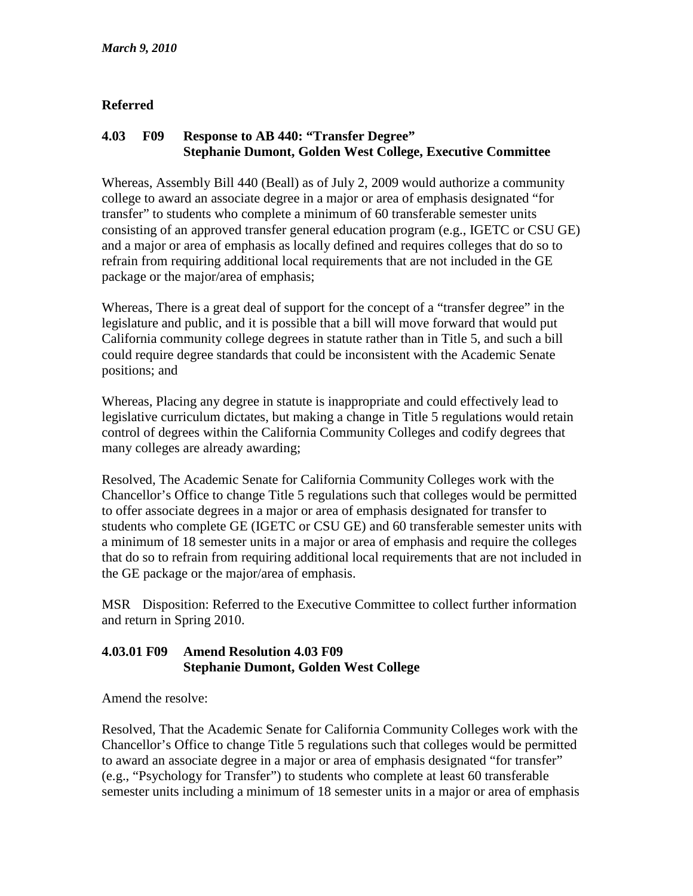#### **Referred**

#### **4.03 F09 Response to AB 440: "Transfer Degree" Stephanie Dumont, Golden West College, Executive Committee**

Whereas, Assembly Bill 440 (Beall) as of July 2, 2009 would authorize a community college to award an associate degree in a major or area of emphasis designated "for transfer" to students who complete a minimum of 60 transferable semester units consisting of an approved transfer general education program (e.g., IGETC or CSU GE) and a major or area of emphasis as locally defined and requires colleges that do so to refrain from requiring additional local requirements that are not included in the GE package or the major/area of emphasis;

Whereas, There is a great deal of support for the concept of a "transfer degree" in the legislature and public, and it is possible that a bill will move forward that would put California community college degrees in statute rather than in Title 5, and such a bill could require degree standards that could be inconsistent with the Academic Senate positions; and

Whereas, Placing any degree in statute is inappropriate and could effectively lead to legislative curriculum dictates, but making a change in Title 5 regulations would retain control of degrees within the California Community Colleges and codify degrees that many colleges are already awarding;

Resolved, The Academic Senate for California Community Colleges work with the Chancellor's Office to change Title 5 regulations such that colleges would be permitted to offer associate degrees in a major or area of emphasis designated for transfer to students who complete GE (IGETC or CSU GE) and 60 transferable semester units with a minimum of 18 semester units in a major or area of emphasis and require the colleges that do so to refrain from requiring additional local requirements that are not included in the GE package or the major/area of emphasis.

MSR Disposition: Referred to the Executive Committee to collect further information and return in Spring 2010.

#### **4.03.01 F09 Amend Resolution 4.03 F09 Stephanie Dumont, Golden West College**

Amend the resolve:

Resolved, That the Academic Senate for California Community Colleges work with the Chancellor's Office to change Title 5 regulations such that colleges would be permitted to award an associate degree in a major or area of emphasis designated "for transfer" (e.g., "Psychology for Transfer") to students who complete at least 60 transferable semester units including a minimum of 18 semester units in a major or area of emphasis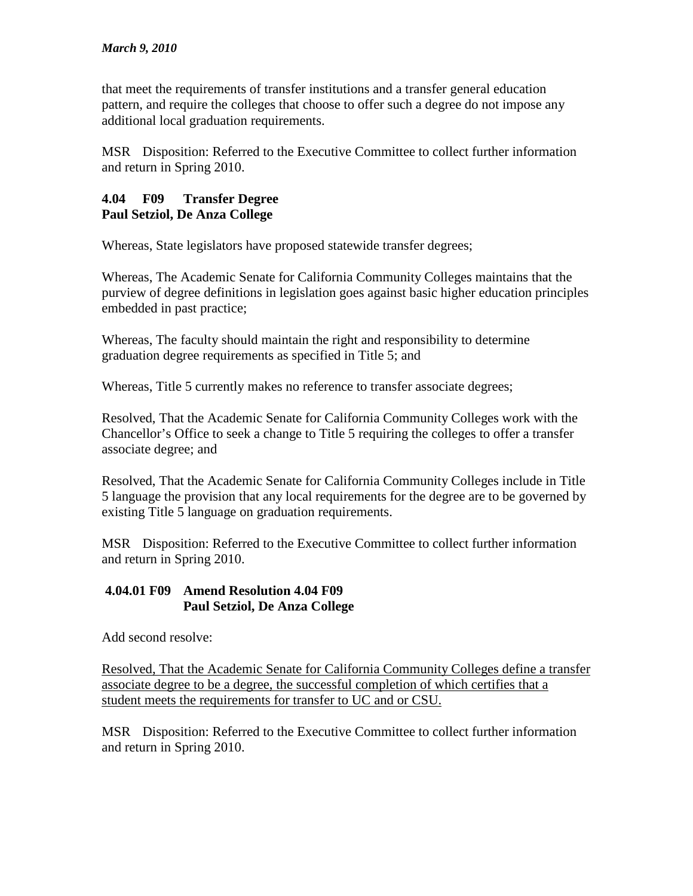that meet the requirements of transfer institutions and a transfer general education pattern, and require the colleges that choose to offer such a degree do not impose any additional local graduation requirements.

MSR Disposition: Referred to the Executive Committee to collect further information and return in Spring 2010.

#### **4.04 F09 Transfer Degree Paul Setziol, De Anza College**

Whereas, State legislators have proposed statewide transfer degrees;

Whereas, The Academic Senate for California Community Colleges maintains that the purview of degree definitions in legislation goes against basic higher education principles embedded in past practice;

Whereas, The faculty should maintain the right and responsibility to determine graduation degree requirements as specified in Title 5; and

Whereas, Title 5 currently makes no reference to transfer associate degrees;

Resolved, That the Academic Senate for California Community Colleges work with the Chancellor's Office to seek a change to Title 5 requiring the colleges to offer a transfer associate degree; and

Resolved, That the Academic Senate for California Community Colleges include in Title 5 language the provision that any local requirements for the degree are to be governed by existing Title 5 language on graduation requirements.

MSR Disposition: Referred to the Executive Committee to collect further information and return in Spring 2010.

#### **4.04.01 F09 Amend Resolution 4.04 F09 Paul Setziol, De Anza College**

Add second resolve:

Resolved, That the Academic Senate for California Community Colleges define a transfer associate degree to be a degree, the successful completion of which certifies that a student meets the requirements for transfer to UC and or CSU.

MSR Disposition: Referred to the Executive Committee to collect further information and return in Spring 2010.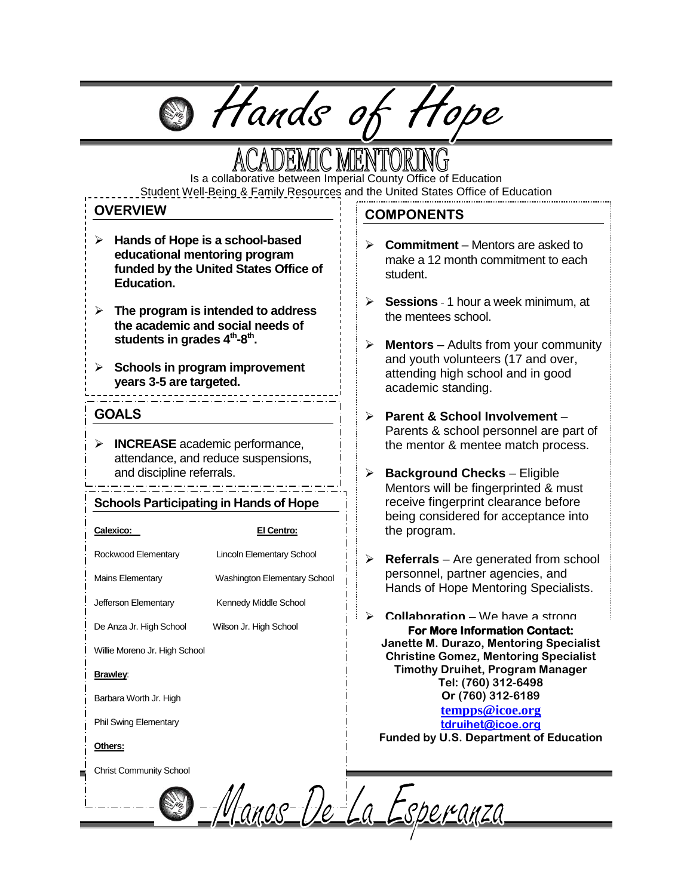# **@** Hands of Hope

Is a collaborative between Imperial County Office of Education Student Well-Being & Family Resources and the United States Office of Education

#### **OVERVIEW**

- **Hands of Hope is a school-based educational mentoring program funded by the United States Office of Education.**
- **The program is intended to address the academic and social needs of**  students in grades 4<sup>th</sup>-8<sup>th</sup>.
- **Schools in program improvement years 3-5 are targeted.**

#### **GOALS**

 **INCREASE** academic performance, attendance, and reduce suspensions, and discipline referrals.

#### **Schools Participating in Hands of Hope**

#### **Calexico: El Centro:**

Rockwood Elementary Lincoln Elementary School

Mains Elementary Washington Elementary School

Jefferson Elementary Kennedy Middle School

De Anza Jr. High School Wilson Jr. High School

Willie Moreno Jr. High School

#### **Brawley**:

Barbara Worth Jr. High

Phil Swing Elementary

#### **Others:**

Christ Community School

#### **COMPONENTS**

- **Commitment**  Mentors are asked to make a 12 month commitment to each student.
- **Sessions** 1 hour a week minimum, at the mentees school.
- **Mentors** Adults from your community and youth volunteers (17 and over, attending high school and in good academic standing.
- **Parent & School Involvement**  Parents & school personnel are part of the mentor & mentee match process.
- **Background Checks** Eligible Mentors will be fingerprinted & must receive fingerprint clearance before being considered for acceptance into the program.
- **Referrals** Are generated from school personnel, partner agencies, and Hands of Hope Mentoring Specialists.
- **Collaboration** We have a strong **For More Information Contact: Janette M. Durazo, Mentoring Specialist Christine Gomez, Mentoring Specialist Timothy Druihet, Program Manager Tel: (760) 312-6498 Or (760) 312-6189 [tempps@icoe.org](mailto:tempps@icoe.org) [tdruihet@icoe.org](mailto:tdruihet@icoe.org) Funded by U.S. Department of Education**

<del>es Manos De La Esperanza</del>